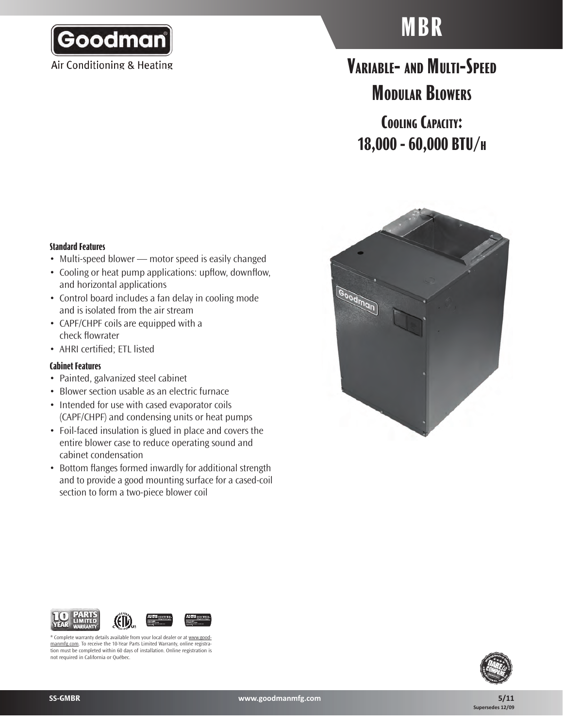

Air Conditioning & Heating

# **MBR**

# **Variable- and Multi-Speed Modular Blowers**

**Cooling Capacity: 18,000 - 60,000 BTU/h**

#### **Standard Features**

- Multi-speed blower motor speed is easily changed
- Cooling or heat pump applications: upflow, downflow, and horizontal applications
- Control board includes a fan delay in cooling mode and is isolated from the air stream
- CAPF/CHPF coils are equipped with a check flowrater
- • AHRI certified; ETL listed

#### **Cabinet Features**

- Painted, galvanized steel cabinet
- Blower section usable as an electric furnace
- Intended for use with cased evaporator coils (CAPF/CHPF) and condensing units or heat pumps
- Foil-faced insulation is glued in place and covers the entire blower case to reduce operating sound and cabinet condensation
- Bottom flanges formed inwardly for additional strength and to provide a good mounting surface for a cased-coil section to form a two-piece blower coil





\* Complete warranty details available from your local dealer or at www.goodmanmfg.com. To receive the 10-Year Parts Limited Warranty, online registration must be completed within 60 days of installation. Online registration is not required in California or Québec.

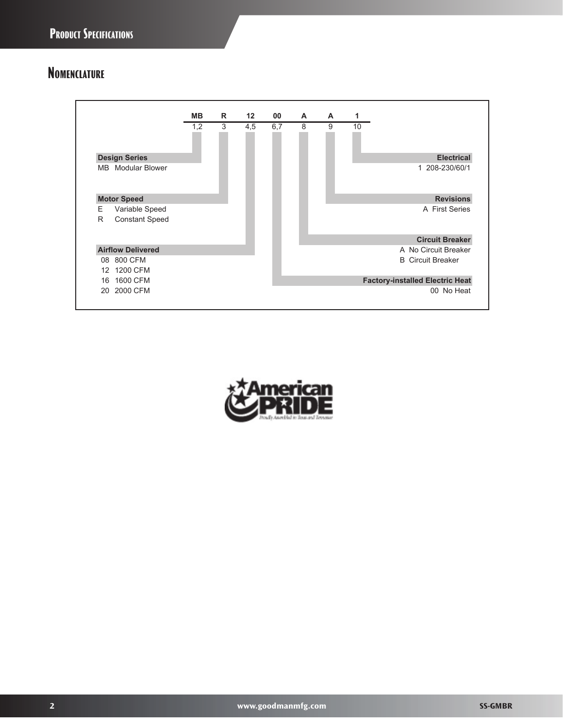## **Nomenclature**



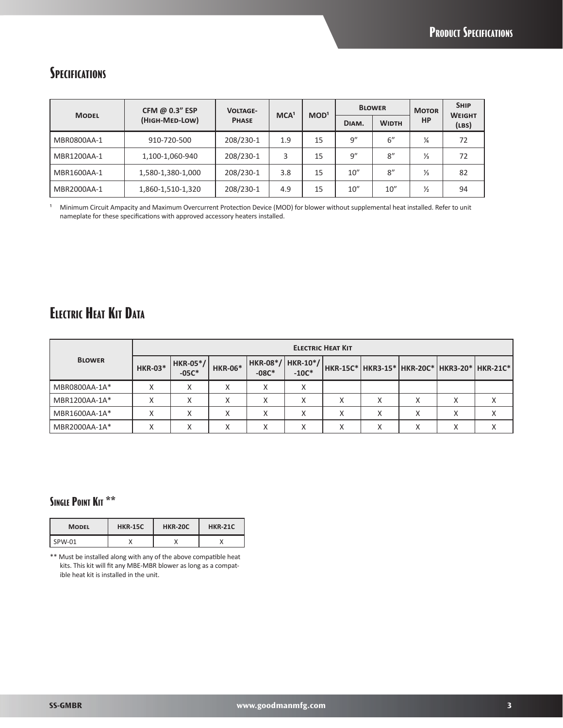### **Specifications**

|              | CFM @ 0.3" ESP    | <b>VOLTAGE-</b> |     | MCA <sup>1</sup><br>MOD <sup>1</sup> | <b>BLOWER</b> |              | <b>MOTOR</b>  | <b>SHIP</b>            |
|--------------|-------------------|-----------------|-----|--------------------------------------|---------------|--------------|---------------|------------------------|
| <b>MODEL</b> | (HIGH-MED-LOW)    | <b>PHASE</b>    |     |                                      | DIAM.         | <b>WIDTH</b> | <b>HP</b>     | <b>WEIGHT</b><br>(LBS) |
| MBR0800AA-1  | 910-720-500       | 208/230-1       | 1.9 | 15                                   | 9''           | 6"           | ¼             | 72                     |
| MBR1200AA-1  | 1,100-1,060-940   | 208/230-1       | 3   | 15                                   | 9''           | 8''          | ⅓             | 72                     |
| MBR1600AA-1  | 1,580-1,380-1,000 | 208/230-1       | 3.8 | 15                                   | 10''          | 8''          | ⅓             | 82                     |
| MBR2000AA-1  | 1,860-1,510-1,320 | 208/230-1       | 4.9 | 15                                   | 10''          | 10''         | $\frac{1}{2}$ | 94                     |

<sup>1</sup> Minimum Circuit Ampacity and Maximum Overcurrent Protection Device (MOD) for blower without supplemental heat installed. Refer to unit nameplate for these specifications with approved accessory heaters installed.

# **Electric Heat Kit Data**

|               | <b>ELECTRIC HEAT KIT</b> |                            |                |         |                                 |           |                   |        |                   |                                              |
|---------------|--------------------------|----------------------------|----------------|---------|---------------------------------|-----------|-------------------|--------|-------------------|----------------------------------------------|
| <b>BLOWER</b> | <b>HKR-03*</b>           | <b>HKR-05*/</b><br>$-05C*$ | <b>HKR-06*</b> | $-08C*$ | $HKR-08*/ HKR-10*/ $<br>$-10C*$ |           |                   |        |                   | HKR-15C* HKR3-15* HKR-20C* HKR3-20* HKR-21C* |
| MBR0800AA-1A* | v<br>∧                   | Χ                          |                |         |                                 |           |                   |        |                   |                                              |
| MBR1200AA-1A* | X                        |                            | v              |         | $\sqrt{}$                       |           | Χ                 |        | $\checkmark$      |                                              |
| MBR1600AA-1A* | ∧                        | ́                          | $\mathbf{v}$   |         |                                 |           | $\checkmark$<br>л |        | $\mathbf{v}$<br>∧ |                                              |
| MBR2000AA-1A* | ∧                        | $\sqrt{2}$                 | $\sqrt{ }$     |         | $\lambda$                       | $\lambda$ | $\mathbf{v}$<br>A | $\sim$ | ∧                 |                                              |

#### **Single Point Kit \*\***

| <b>MODEL</b> | <b>HKR-15C</b> | <b>HKR-20C</b> | <b>HKR-21C</b> |
|--------------|----------------|----------------|----------------|
| SPW-01       |                |                |                |

\*\* Must be installed along with any of the above compatible heat kits. This kit will fit any MBE-MBR blower as long as a compatible heat kit is installed in the unit.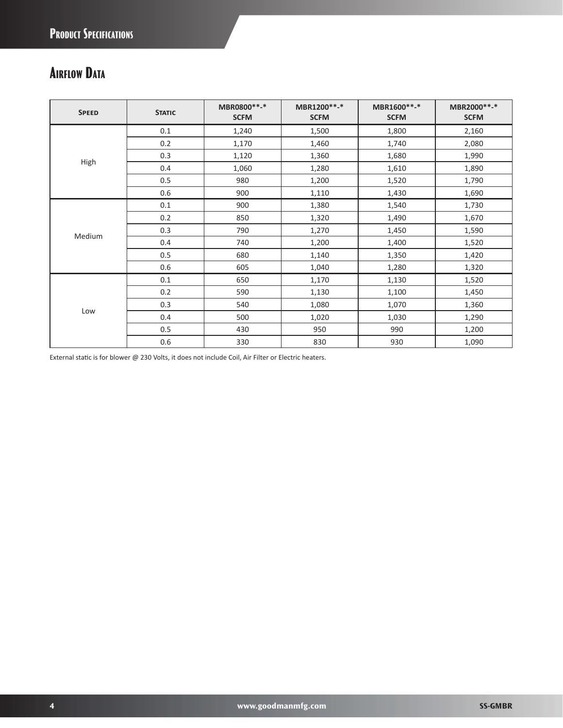# **Airflow Data**

| <b>SPEED</b> | <b>STATIC</b> | MBR0800**-*<br><b>SCFM</b> | MBR1200**-*<br><b>SCFM</b> | MBR1600**-*<br><b>SCFM</b> | MBR2000**-*<br><b>SCFM</b> |
|--------------|---------------|----------------------------|----------------------------|----------------------------|----------------------------|
|              | 0.1           | 1,240                      | 1,500                      | 1,800                      | 2,160                      |
|              | 0.2           | 1,170                      | 1,460                      | 1,740                      | 2,080                      |
|              | 0.3           | 1,120                      | 1,360                      | 1,680                      | 1,990                      |
| High         | 0.4           | 1,060                      | 1,280                      | 1,610                      | 1,890                      |
|              | 0.5           | 980                        | 1,200                      | 1,520                      | 1,790                      |
|              | 0.6           | 900                        | 1,110                      | 1,430                      | 1,690                      |
| Medium       | 0.1           | 900                        | 1,380                      | 1,540                      | 1,730                      |
|              | 0.2           | 850                        | 1,320                      | 1,490                      | 1,670                      |
|              | 0.3           | 790                        | 1,270                      | 1,450                      | 1,590                      |
|              | 0.4           | 740                        | 1,200                      | 1,400                      | 1,520                      |
|              | 0.5           | 680                        | 1,140                      | 1,350                      | 1,420                      |
|              | 0.6           | 605                        | 1,040                      | 1,280                      | 1,320                      |
| Low          | 0.1           | 650                        | 1,170                      | 1,130                      | 1,520                      |
|              | 0.2           | 590                        | 1,130                      | 1,100                      | 1,450                      |
|              | 0.3           | 540                        | 1,080                      | 1,070                      | 1,360                      |
|              | 0.4           | 500                        | 1,020                      | 1,030                      | 1,290                      |
|              | 0.5           | 430                        | 950                        | 990                        | 1,200                      |
|              | 0.6           | 330                        | 830                        | 930                        | 1,090                      |

External static is for blower @ 230 Volts, it does not include Coil, Air Filter or Electric heaters.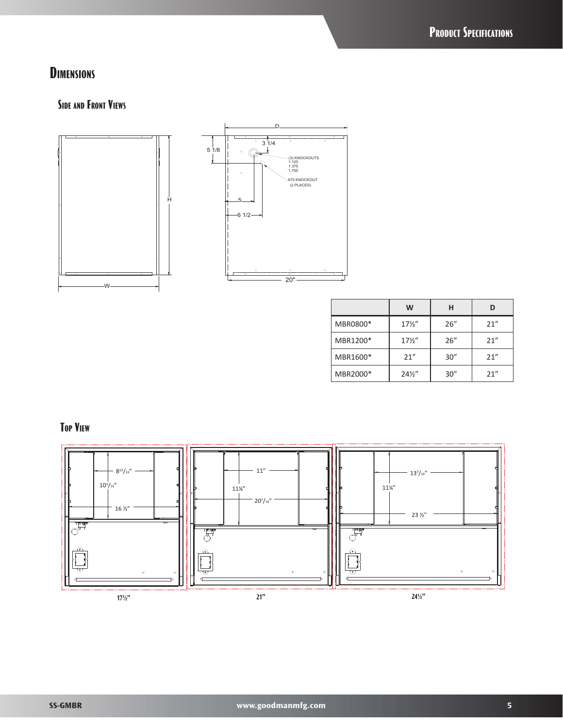## **Dimensions**

#### **Side and Front Views**



|          | W               | н    | D    |
|----------|-----------------|------|------|
| MBR0800* | $17\frac{1}{2}$ | 26'' | 21'' |
| MBR1200* | $17\frac{1}{2}$ | 26'' | 21'' |
| MBR1600* | 21''            | 30'' | 21'' |
| MBR2000* | $24\frac{1}{2}$ | 30'' | 21'' |

**Top View**

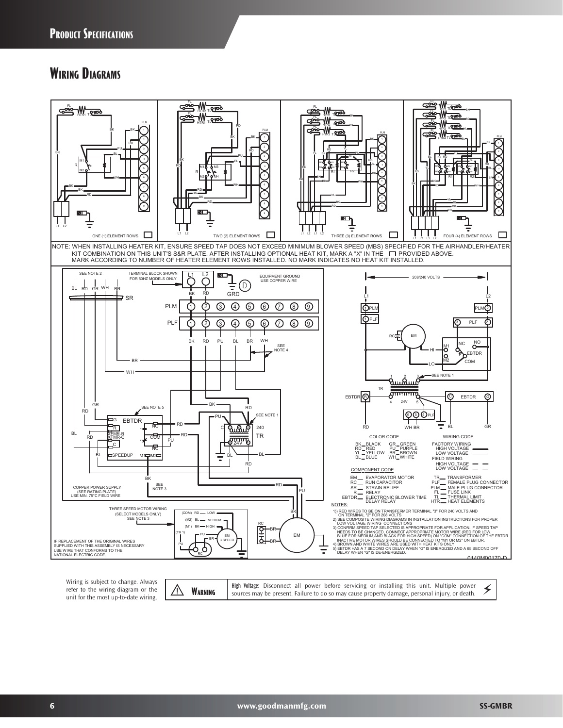### **Wiring Diagrams**



Wiring is subject to change. Always refer to the wiring diagram or the Frefer to the wiring diagram or the  $\sqrt{\frac{1}{2}}$  **WARNING** unit for the most up-to-date wiring.

High Voltage: Disconnect all power before servicing or installing this unit. Multiple power  $\lessgtr$ <br>sources may be present. Failure to do so may cause property damage, personal injury, or death. **High Voltage:** Disconnect all power before servicing or installing this unit. Multiple power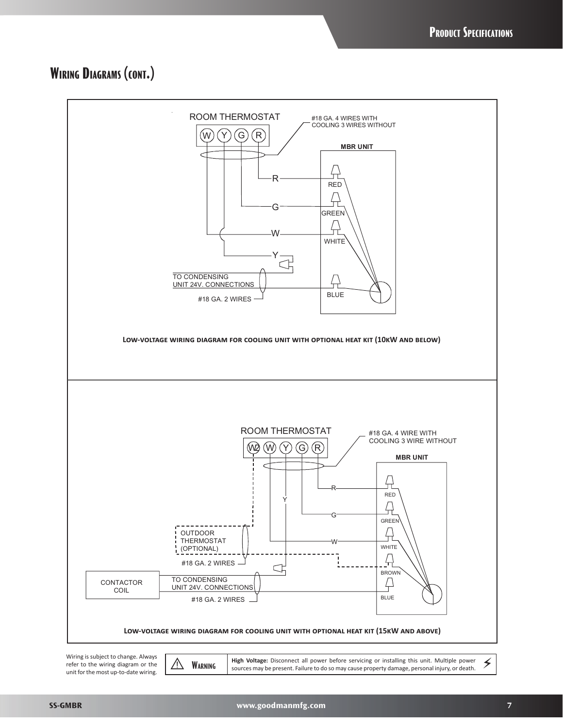## **Wiring Diagrams (cont.)**



refer to the wiring diagram or the unit forthe most up-to-date wiring. **WARNING** High Voltage: Disconnect all power before servicing or installing this unit. Multiple power sources may be present. Failure to do so may cause property damage, personal injury, or death.